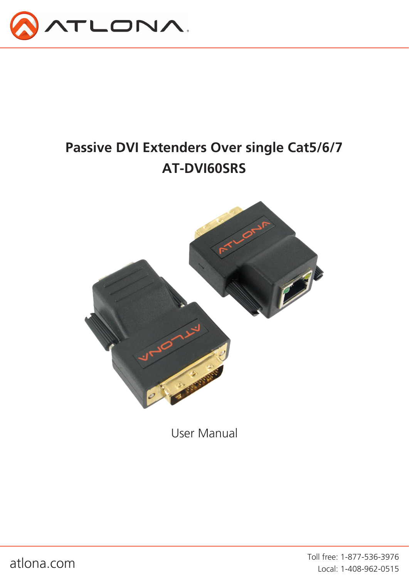

# **Passive DVI Extenders Over single Cat5/6/7 AT-DVI60SRS**



User Manual

atlona.com Toll free: 1-877-536-3976 Local: 1-408-962-0515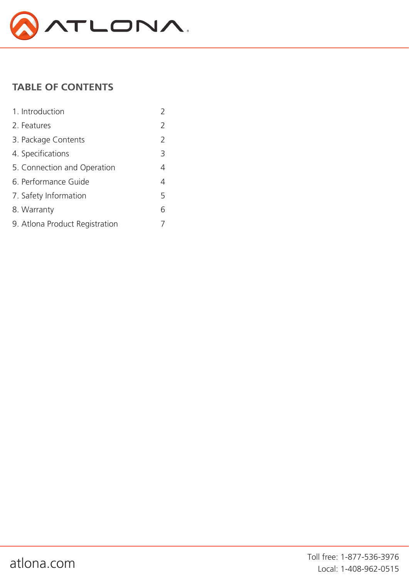

## **TABLE OF CONTENTS**

| 1. Introduction                |               |
|--------------------------------|---------------|
| 2. Features                    | $\mathcal{P}$ |
| 3. Package Contents            | 2             |
| 4. Specifications              | 3             |
| 5. Connection and Operation    | 4             |
| 6. Performance Guide           | 4             |
| 7. Safety Information          | 5             |
| 8. Warranty                    | 6             |
| 9. Atlona Product Registration |               |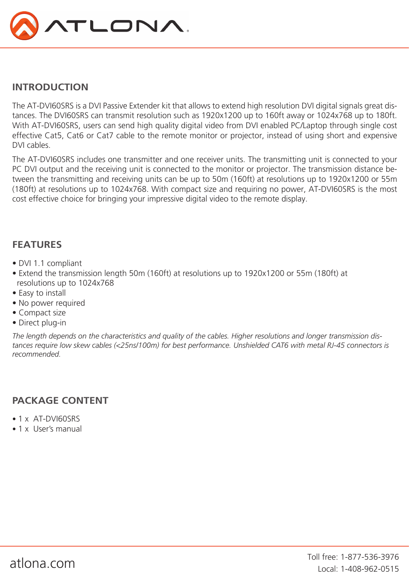

### **INTRODUCTION**

The AT-DVI60SRS is a DVI Passive Extender kit that allows to extend high resolution DVI digital signals great distances. The DVI60SRS can transmit resolution such as 1920x1200 up to 160ft away or 1024x768 up to 180ft. With AT-DVI60SRS, users can send high quality digital video from DVI enabled PC/Laptop through single cost effective Cat5, Cat6 or Cat7 cable to the remote monitor or projector, instead of using short and expensive DVI cables.

The AT-DVI60SRS includes one transmitter and one receiver units. The transmitting unit is connected to your PC DVI output and the receiving unit is connected to the monitor or projector. The transmission distance between the transmitting and receiving units can be up to 50m (160ft) at resolutions up to 1920x1200 or 55m (180ft) at resolutions up to 1024x768. With compact size and requiring no power, AT-DVI60SRS is the most cost effective choice for bringing your impressive digital video to the remote display.

### **FEATURES**

- DVI 1.1 compliant
- Extend the transmission length 50m (160ft) at resolutions up to 1920x1200 or 55m (180ft) at resolutions up to 1024x768
- Easy to install
- No power required
- Compact size
- Direct plug-in

*The length depends on the characteristics and quality of the cables. Higher resolutions and longer transmission dis*tances require low skew cables (<25ns/100m) for best performance. Unshielded CAT6 with metal RJ-45 connectors is *recommended.*

### **PACKAGE CONTENT**

- 1 x AT-DVI60SRS
- 1 x User's manual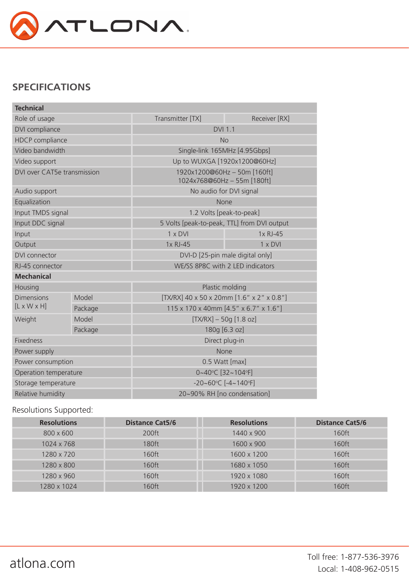

### **SPECIFICATIONS**

| <b>Technical</b>            |         |                                                           |               |  |
|-----------------------------|---------|-----------------------------------------------------------|---------------|--|
| Role of usage               |         | Transmitter [TX]                                          | Receiver [RX] |  |
| DVI compliance              |         | <b>DVI 1.1</b>                                            |               |  |
| <b>HDCP</b> compliance      |         | <b>No</b>                                                 |               |  |
| Video bandwidth             |         | Single-link 165MHz [4.95Gbps]                             |               |  |
| Video support               |         | Up to WUXGA [1920x1200@60Hz]                              |               |  |
| DVI over CAT5e transmission |         | 1920x1200@60Hz-50m [160ft]<br>1024x768@60Hz - 55m [180ft] |               |  |
| Audio support               |         | No audio for DVI signal                                   |               |  |
| Equalization                |         | None                                                      |               |  |
| Input TMDS signal           |         | 1.2 Volts [peak-to-peak]                                  |               |  |
| Input DDC signal            |         | 5 Volts [peak-to-peak, TTL] from DVI output               |               |  |
| Input                       |         | 1 x DVI                                                   | 1x RJ-45      |  |
| Output                      |         | 1x RJ-45                                                  | 1 x DVI       |  |
| DVI connector               |         | DVI-D [25-pin male digital only]                          |               |  |
| RJ-45 connector             |         | WE/SS 8P8C with 2 LED indicators                          |               |  |
| <b>Mechanical</b>           |         |                                                           |               |  |
| Housing                     |         | Plastic molding                                           |               |  |
| <b>Dimensions</b>           | Model   | [TX/RX] 40 x 50 x 20mm [1.6" x 2" x 0.8"]                 |               |  |
| $[L \times W \times H]$     | Package | 115 x 170 x 40mm [4.5" x 6.7" x 1.6"]                     |               |  |
| Weight                      | Model   | $[TX/RX] - 50g [1.8 oz]$                                  |               |  |
|                             | Package | 180g [6.3 oz]                                             |               |  |
| Fixedness                   |         | Direct plug-in                                            |               |  |
| Power supply                |         | None                                                      |               |  |
| Power consumption           |         | 0.5 Watt [max]                                            |               |  |
| Operation temperature       |         | 0~40°C [32~104°F]                                         |               |  |
| Storage temperature         |         | $-20 - 60^{\circ}$ C [ $-4 - 140^{\circ}$ F]              |               |  |
| Relative humidity           |         | 20~90% RH [no condensation]                               |               |  |

### Resolutions Supported:

| <b>Resolutions</b> | <b>Distance Cat5/6</b> | <b>Resolutions</b> | <b>Distance Cat5/6</b> |
|--------------------|------------------------|--------------------|------------------------|
| 800 x 600          | 200ft                  | 1440 x 900         | 160ft                  |
| 1024 x 768         | 180ft                  | 1600 x 900         | 160ft                  |
| 1280 x 720         | 160ft                  | 1600 x 1200        | 160ft                  |
| 1280 x 800         | 160ft                  | 1680 x 1050        | 160ft                  |
| 1280 x 960         | 160ft                  | 1920 x 1080        | 160ft                  |
| 1280 x 1024        | 160ft                  | 1920 x 1200        | 160ft                  |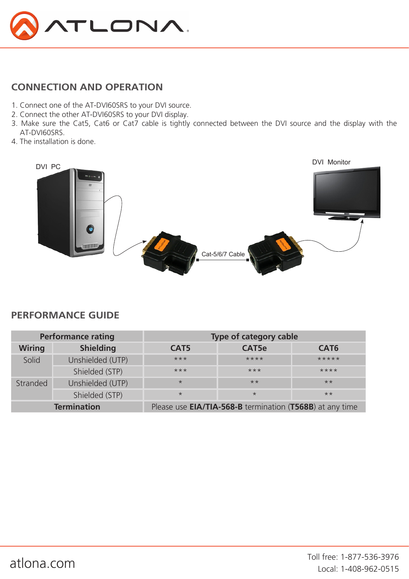

### **CONNECTION AND OPERATION**

- 1. Connect one of the AT-DVI60SRS to your DVI source.
- 2. Connect the other AT-DVI60SRS to your DVI display.
- 3. Make sure the Cat5, Cat6 or Cat7 cable is tightly connected between the DVI source and the display with the AT-DVI60SRS.
- 4. The installation is done.



### **PERFORMANCE GUIDE**

|               | <b>Performance rating</b><br>Type of category cable |                  |                                                          |                  |
|---------------|-----------------------------------------------------|------------------|----------------------------------------------------------|------------------|
| <b>Wiring</b> | <b>Shielding</b>                                    | CAT <sub>5</sub> | CAT5e                                                    | CAT <sub>6</sub> |
| Solid         | Unshielded (UTP)                                    | $***$            | $***$ *                                                  | *****            |
|               | Shielded (STP)                                      | $***$            | $***$                                                    | $***$ *          |
| Stranded      | Unshielded (UTP)                                    | $\star$          | $**$                                                     | $**$             |
|               | Shielded (STP)                                      | $\star$          | $\star$                                                  | $**$             |
|               | <b>Termination</b>                                  |                  | Please use EIA/TIA-568-B termination (T568B) at any time |                  |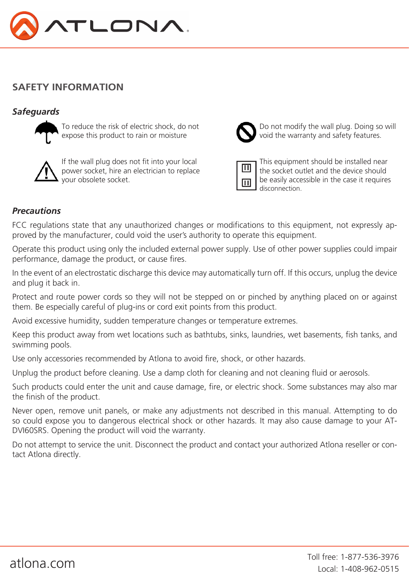

### **SAFETY INFORMATION**

### *Safeguards*



expose this product to rain or moisture  $\Box$  void the warranty and safety features.



power socket, hire an electrician to replace  $\|\mathbf{w}\|$  the socket outlet and the device should your obsolete socket.  $\overline{b}$  be easily accessible in the case it requires



To reduce the risk of electric shock, do not **Noting 1 CO** not modify the wall plug. Doing so will

If the wall plug does not fit into your local  $\Box$  This equipment should be installed near disconnection.

### *Precautions*

FCC regulations state that any unauthorized changes or modifications to this equipment, not expressly approved by the manufacturer, could void the user's authority to operate this equipment.

Operate this product using only the included external power supply. Use of other power supplies could impair performance, damage the product, or cause fires.

In the event of an electrostatic discharge this device may automatically turn off. If this occurs, unplug the device and plug it back in.

Protect and route power cords so they will not be stepped on or pinched by anything placed on or against them. Be especially careful of plug-ins or cord exit points from this product.

Avoid excessive humidity, sudden temperature changes or temperature extremes.

Keep this product away from wet locations such as bathtubs, sinks, laundries, wet basements, fish tanks, and swimming pools.

Use only accessories recommended by Atlona to avoid fire, shock, or other hazards.

Unplug the product before cleaning. Use a damp cloth for cleaning and not cleaning fluid or aerosols.

Such products could enter the unit and cause damage, fire, or electric shock. Some substances may also mar the finish of the product.

Never open, remove unit panels, or make any adjustments not described in this manual. Attempting to do so could expose you to dangerous electrical shock or other hazards. It may also cause damage to your AT-DVI60SRS. Opening the product will void the warranty.

Do not attempt to service the unit. Disconnect the product and contact your authorized Atlona reseller or contact Atlona directly.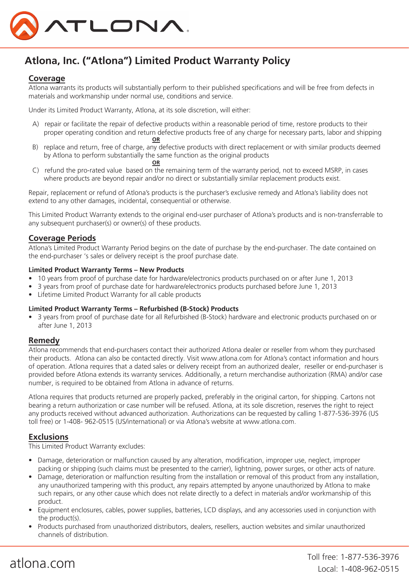

# **Atlona, Inc. ("Atlona") Limited Product Warranty Policy**

#### **Coverage**

Atlona warrants its products will substantially perform to their published specifications and will be free from defects in materials and workmanship under normal use, conditions and service.

Under its Limited Product Warranty, Atlona, at its sole discretion, will either:

- A) repair or facilitate the repair of defective products within a reasonable period of time, restore products to their proper operating condition and return defective products free of any charge for necessary parts, labor and shipping<br>
OR **OR**
- B) replace and return, free of charge, any defective products with direct replacement or with similar products deemed by Atlona to perform substantially the same function as the original products
- **OR**  C) refund the pro-rated value based on the remaining term of the warranty period, not to exceed MSRP, in cases where products are beyond repair and/or no direct or substantially similar replacement products exist.

Repair, replacement or refund of Atlona's products is the purchaser's exclusive remedy and Atlona's liability does not extend to any other damages, incidental, consequential or otherwise.

This Limited Product Warranty extends to the original end-user purchaser of Atlona's products and is non-transferrable to any subsequent purchaser(s) or owner(s) of these products.

#### **Coverage Periods**

Atlona's Limited Product Warranty Period begins on the date of purchase by the end-purchaser. The date contained on the end-purchaser 's sales or delivery receipt is the proof purchase date.

#### **Limited Product Warranty Terms – New Products**

- 10 years from proof of purchase date for hardware/electronics products purchased on or after June 1, 2013
- 3 years from proof of purchase date for hardware/electronics products purchased before June 1, 2013
- Lifetime Limited Product Warranty for all cable products

#### **Limited Product Warranty Terms – Refurbished (B-Stock) Products**

• 3 years from proof of purchase date for all Refurbished (B-Stock) hardware and electronic products purchased on or after June 1, 2013

#### **Remedy**

Atlona recommends that end-purchasers contact their authorized Atlona dealer or reseller from whom they purchased their products. Atlona can also be contacted directly. Visit www.atlona.com for Atlona's contact information and hours of operation. Atlona requires that a dated sales or delivery receipt from an authorized dealer, reseller or end-purchaser is provided before Atlona extends its warranty services. Additionally, a return merchandise authorization (RMA) and/or case number, is required to be obtained from Atlona in advance of returns.

Atlona requires that products returned are properly packed, preferably in the original carton, for shipping. Cartons not bearing a return authorization or case number will be refused. Atlona, at its sole discretion, reserves the right to reject any products received without advanced authorization. Authorizations can be requested by calling 1-877-536-3976 (US toll free) or 1-408- 962-0515 (US/international) or via Atlona's website at www.atlona.com.

#### **Exclusions**

This Limited Product Warranty excludes:

- Damage, deterioration or malfunction caused by any alteration, modification, improper use, neglect, improper packing or shipping (such claims must be presented to the carrier), lightning, power surges, or other acts of nature.
- Damage, deterioration or malfunction resulting from the installation or removal of this product from any installation, any unauthorized tampering with this product, any repairs attempted by anyone unauthorized by Atlona to make such repairs, or any other cause which does not relate directly to a defect in materials and/or workmanship of this product.
- Equipment enclosures, cables, power supplies, batteries, LCD displays, and any accessories used in conjunction with the product(s).
- Products purchased from unauthorized distributors, dealers, resellers, auction websites and similar unauthorized channels of distribution.